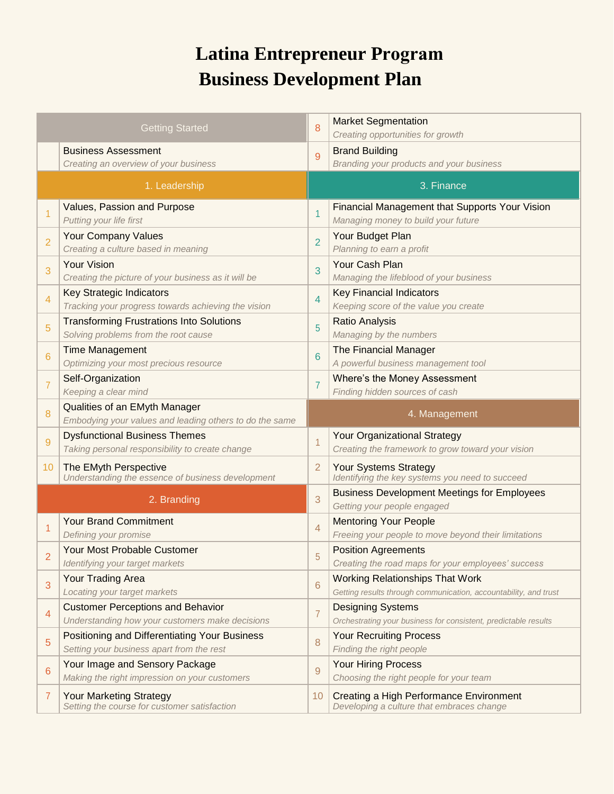## **Latina Entrepreneur Program Business Development Plan**

|                | <b>Getting Started</b>                                                                      | 8              | <b>Market Segmentation</b><br>Creating opportunities for growth                                            |  |  |  |  |
|----------------|---------------------------------------------------------------------------------------------|----------------|------------------------------------------------------------------------------------------------------------|--|--|--|--|
|                | <b>Business Assessment</b><br>Creating an overview of your business                         | 9              | <b>Brand Building</b><br>Branding your products and your business                                          |  |  |  |  |
|                | 1. Leadership                                                                               |                | 3. Finance                                                                                                 |  |  |  |  |
| 1              | Values, Passion and Purpose<br>Putting your life first                                      | $\overline{1}$ | Financial Management that Supports Your Vision<br>Managing money to build your future                      |  |  |  |  |
| $\overline{2}$ | <b>Your Company Values</b><br>Creating a culture based in meaning                           | $\overline{2}$ | Your Budget Plan<br>Planning to earn a profit                                                              |  |  |  |  |
| 3              | <b>Your Vision</b><br>Creating the picture of your business as it will be                   | 3              | Your Cash Plan<br>Managing the lifeblood of your business                                                  |  |  |  |  |
| 4              | Key Strategic Indicators<br>Tracking your progress towards achieving the vision             | $\overline{4}$ | <b>Key Financial Indicators</b><br>Keeping score of the value you create                                   |  |  |  |  |
| 5              | <b>Transforming Frustrations Into Solutions</b><br>Solving problems from the root cause     | 5              | <b>Ratio Analysis</b><br>Managing by the numbers                                                           |  |  |  |  |
| 6              | <b>Time Management</b><br>Optimizing your most precious resource                            | 6              | The Financial Manager<br>A powerful business management tool                                               |  |  |  |  |
| $\overline{7}$ | Self-Organization<br>Keeping a clear mind                                                   | $\overline{7}$ | Where's the Money Assessment<br>Finding hidden sources of cash                                             |  |  |  |  |
| 8              | Qualities of an EMyth Manager<br>Embodying your values and leading others to do the same    | 4. Management  |                                                                                                            |  |  |  |  |
| 9              | <b>Dysfunctional Business Themes</b><br>Taking personal responsibility to create change     | $\overline{1}$ | <b>Your Organizational Strategy</b><br>Creating the framework to grow toward your vision                   |  |  |  |  |
| 10             | The EMyth Perspective<br>Understanding the essence of business development                  | $\overline{2}$ | <b>Your Systems Strategy</b><br>Identifying the key systems you need to succeed                            |  |  |  |  |
|                | 2. Branding                                                                                 | 3              | <b>Business Development Meetings for Employees</b><br>Getting your people engaged                          |  |  |  |  |
| 1              | <b>Your Brand Commitment</b><br>Defining your promise                                       | $\overline{4}$ | <b>Mentoring Your People</b><br>Freeing your people to move beyond their limitations                       |  |  |  |  |
| $\overline{2}$ | Your Most Probable Customer<br>Identifying your target markets                              | 5              | <b>Position Agreements</b><br>Creating the road maps for your employees' success                           |  |  |  |  |
| 3              | Your Trading Area<br>Locating your target markets                                           | 6              | <b>Working Relationships That Work</b><br>Getting results through communication, accountability, and trust |  |  |  |  |
| $\overline{4}$ | <b>Customer Perceptions and Behavior</b><br>Understanding how your customers make decisions | $\overline{7}$ | <b>Designing Systems</b><br>Orchestrating your business for consistent, predictable results                |  |  |  |  |
| 5              | Positioning and Differentiating Your Business<br>Setting your business apart from the rest  | 8              | <b>Your Recruiting Process</b><br>Finding the right people                                                 |  |  |  |  |
| 6              | Your Image and Sensory Package<br>Making the right impression on your customers             | 9              | <b>Your Hiring Process</b><br>Choosing the right people for your team                                      |  |  |  |  |
| 7              | <b>Your Marketing Strategy</b><br>Setting the course for customer satisfaction              | 10             | Creating a High Performance Environment<br>Developing a culture that embraces change                       |  |  |  |  |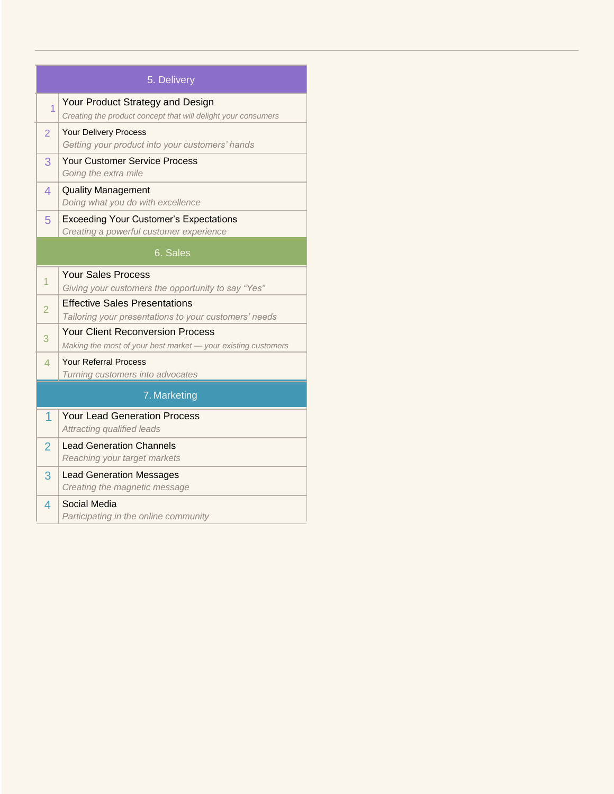| 5. Delivery              |                                                                                                          |  |  |  |  |  |  |  |  |
|--------------------------|----------------------------------------------------------------------------------------------------------|--|--|--|--|--|--|--|--|
| $\overline{1}$           | Your Product Strategy and Design<br>Creating the product concept that will delight your consumers        |  |  |  |  |  |  |  |  |
| $\overline{2}$           | <b>Your Delivery Process</b><br>Getting your product into your customers' hands                          |  |  |  |  |  |  |  |  |
| 3                        | <b>Your Customer Service Process</b><br>Going the extra mile                                             |  |  |  |  |  |  |  |  |
| $\overline{4}$           | <b>Quality Management</b><br>Doing what you do with excellence                                           |  |  |  |  |  |  |  |  |
| 5                        | <b>Exceeding Your Customer's Expectations</b><br>Creating a powerful customer experience                 |  |  |  |  |  |  |  |  |
| 6. Sales                 |                                                                                                          |  |  |  |  |  |  |  |  |
| $\overline{1}$           | <b>Your Sales Process</b><br>Giving your customers the opportunity to say "Yes"                          |  |  |  |  |  |  |  |  |
| $\overline{2}$           | <b>Effective Sales Presentations</b><br>Tailoring your presentations to your customers' needs            |  |  |  |  |  |  |  |  |
| 3                        | <b>Your Client Reconversion Process</b><br>Making the most of your best market - your existing customers |  |  |  |  |  |  |  |  |
| $\overline{\mathcal{A}}$ | <b>Your Referral Process</b><br>Turning customers into advocates                                         |  |  |  |  |  |  |  |  |
| 7. Marketing             |                                                                                                          |  |  |  |  |  |  |  |  |
| 1                        | <b>Your Lead Generation Process</b><br>Attracting qualified leads                                        |  |  |  |  |  |  |  |  |
| $\overline{2}$           | <b>Lead Generation Channels</b><br>Reaching your target markets                                          |  |  |  |  |  |  |  |  |
| 3                        | <b>Lead Generation Messages</b><br>Creating the magnetic message                                         |  |  |  |  |  |  |  |  |
| $\overline{4}$           | Social Media<br>Participating in the online community                                                    |  |  |  |  |  |  |  |  |